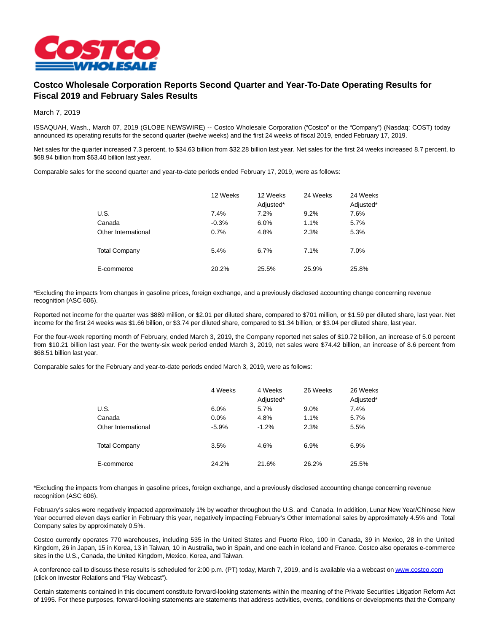

## **Costco Wholesale Corporation Reports Second Quarter and Year-To-Date Operating Results for Fiscal 2019 and February Sales Results**

March 7, 2019

ISSAQUAH, Wash., March 07, 2019 (GLOBE NEWSWIRE) -- Costco Wholesale Corporation ("Costco" or the "Company") (Nasdaq: COST) today announced its operating results for the second quarter (twelve weeks) and the first 24 weeks of fiscal 2019, ended February 17, 2019.

Net sales for the quarter increased 7.3 percent, to \$34.63 billion from \$32.28 billion last year. Net sales for the first 24 weeks increased 8.7 percent, to \$68.94 billion from \$63.40 billion last year.

Comparable sales for the second quarter and year-to-date periods ended February 17, 2019, were as follows:

|                      | 12 Weeks | 12 Weeks<br>Adjusted* | 24 Weeks | 24 Weeks<br>Adjusted* |
|----------------------|----------|-----------------------|----------|-----------------------|
| U.S.                 | 7.4%     | 7.2%                  | 9.2%     | 7.6%                  |
| Canada               | $-0.3%$  | 6.0%                  | 1.1%     | 5.7%                  |
| Other International  | 0.7%     | 4.8%                  | 2.3%     | 5.3%                  |
| <b>Total Company</b> | 5.4%     | 6.7%                  | 7.1%     | 7.0%                  |
| E-commerce           | 20.2%    | 25.5%                 | 25.9%    | 25.8%                 |

\*Excluding the impacts from changes in gasoline prices, foreign exchange, and a previously disclosed accounting change concerning revenue recognition (ASC 606).

Reported net income for the quarter was \$889 million, or \$2.01 per diluted share, compared to \$701 million, or \$1.59 per diluted share, last year. Net income for the first 24 weeks was \$1.66 billion, or \$3.74 per diluted share, compared to \$1.34 billion, or \$3.04 per diluted share, last year.

For the four-week reporting month of February, ended March 3, 2019, the Company reported net sales of \$10.72 billion, an increase of 5.0 percent from \$10.21 billion last year. For the twenty-six week period ended March 3, 2019, net sales were \$74.42 billion, an increase of 8.6 percent from \$68.51 billion last year.

Comparable sales for the February and year-to-date periods ended March 3, 2019, were as follows:

|                      | 4 Weeks | 4 Weeks<br>Adjusted* | 26 Weeks | 26 Weeks<br>Adjusted* |
|----------------------|---------|----------------------|----------|-----------------------|
| U.S.                 | 6.0%    | 5.7%                 | 9.0%     | 7.4%                  |
| Canada               | 0.0%    | 4.8%                 | 1.1%     | 5.7%                  |
| Other International  | $-5.9%$ | $-1.2%$              | 2.3%     | 5.5%                  |
| <b>Total Company</b> | 3.5%    | 4.6%                 | 6.9%     | 6.9%                  |
| E-commerce           | 24.2%   | 21.6%                | 26.2%    | 25.5%                 |

\*Excluding the impacts from changes in gasoline prices, foreign exchange, and a previously disclosed accounting change concerning revenue recognition (ASC 606).

February's sales were negatively impacted approximately 1% by weather throughout the U.S. and Canada. In addition, Lunar New Year/Chinese New Year occurred eleven days earlier in February this year, negatively impacting February's Other International sales by approximately 4.5% and Total Company sales by approximately 0.5%.

Costco currently operates 770 warehouses, including 535 in the United States and Puerto Rico, 100 in Canada, 39 in Mexico, 28 in the United Kingdom, 26 in Japan, 15 in Korea, 13 in Taiwan, 10 in Australia, two in Spain, and one each in Iceland and France. Costco also operates e-commerce sites in the U.S., Canada, the United Kingdom, Mexico, Korea, and Taiwan.

A conference call to discuss these results is scheduled for 2:00 p.m. (PT) today, March 7, 2019, and is available via a webcast o[n www.costco.com](http://www.costco.com/) (click on Investor Relations and "Play Webcast").

Certain statements contained in this document constitute forward-looking statements within the meaning of the Private Securities Litigation Reform Act of 1995. For these purposes, forward-looking statements are statements that address activities, events, conditions or developments that the Company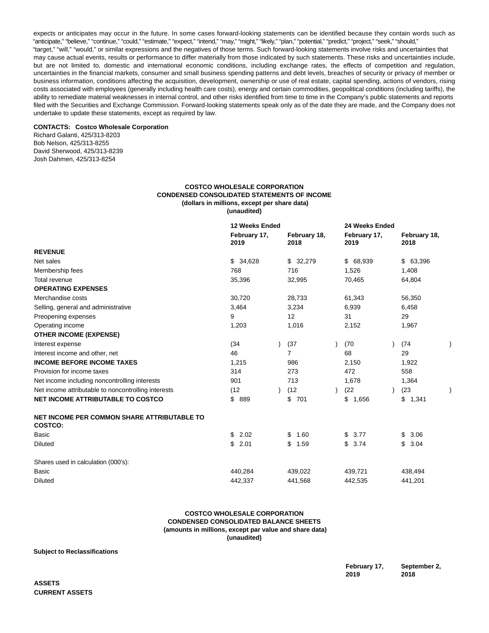expects or anticipates may occur in the future. In some cases forward-looking statements can be identified because they contain words such as "anticipate," "believe," "continue," "could," "estimate," "expect," "intend," "may," "might," "likely," "plan," "potential," "predict," "project," "seek," "should," "target," "will," "would," or similar expressions and the negatives of those terms. Such forward-looking statements involve risks and uncertainties that may cause actual events, results or performance to differ materially from those indicated by such statements. These risks and uncertainties include, but are not limited to, domestic and international economic conditions, including exchange rates, the effects of competition and regulation, uncertainties in the financial markets, consumer and small business spending patterns and debt levels, breaches of security or privacy of member or business information, conditions affecting the acquisition, development, ownership or use of real estate, capital spending, actions of vendors, rising costs associated with employees (generally including health care costs), energy and certain commodities, geopolitical conditions (including tariffs), the ability to remediate material weaknesses in internal control, and other risks identified from time to time in the Company's public statements and reports filed with the Securities and Exchange Commission. Forward-looking statements speak only as of the date they are made, and the Company does not undertake to update these statements, except as required by law.

## **CONTACTS: Costco Wholesale Corporation**

Richard Galanti, 425/313-8203 Bob Nelson, 425/313-8255 David Sherwood, 425/313-8239 Josh Dahmen, 425/313-8254

## **COSTCO WHOLESALE CORPORATION CONDENSED CONSOLIDATED STATEMENTS OF INCOME (dollars in millions, except per share data) (unaudited)**

|                                                               | 12 Weeks Ended       |  |                      | 24 Weeks Ended       |  |                      |  |
|---------------------------------------------------------------|----------------------|--|----------------------|----------------------|--|----------------------|--|
|                                                               | February 17,<br>2019 |  | February 18,<br>2018 | February 17,<br>2019 |  | February 18,<br>2018 |  |
| <b>REVENUE</b>                                                |                      |  |                      |                      |  |                      |  |
| Net sales                                                     | \$34,628             |  | \$32,279             | \$ 68,939            |  | \$63,396             |  |
| Membership fees                                               | 768                  |  | 716                  | 1,526                |  | 1,408                |  |
| Total revenue                                                 | 35,396               |  | 32,995               | 70,465               |  | 64,804               |  |
| <b>OPERATING EXPENSES</b>                                     |                      |  |                      |                      |  |                      |  |
| Merchandise costs                                             | 30,720               |  | 28,733               | 61,343               |  | 56,350               |  |
| Selling, general and administrative                           | 3,464                |  | 3,234                | 6,939                |  | 6,458                |  |
| Preopening expenses                                           | 9                    |  | 12                   | 31                   |  | 29                   |  |
| Operating income                                              | 1,203                |  | 1,016                | 2,152                |  | 1,967                |  |
| <b>OTHER INCOME (EXPENSE)</b>                                 |                      |  |                      |                      |  |                      |  |
| Interest expense                                              | (34)                 |  | (37)                 | (70)                 |  | (74)                 |  |
| Interest income and other, net                                | 46                   |  | $\overline{7}$       | 68                   |  | 29                   |  |
| <b>INCOME BEFORE INCOME TAXES</b>                             | 1,215                |  | 986                  | 2,150                |  | 1,922                |  |
| Provision for income taxes                                    | 314                  |  | 273                  | 472                  |  | 558                  |  |
| Net income including noncontrolling interests                 | 901                  |  | 713                  | 1,678                |  | 1,364                |  |
| Net income attributable to noncontrolling interests           | (12)                 |  | (12)                 | (22)                 |  | (23)                 |  |
| <b>NET INCOME ATTRIBUTABLE TO COSTCO</b>                      | \$<br>889            |  | \$<br>701            | \$1,656              |  | \$1,341              |  |
| NET INCOME PER COMMON SHARE ATTRIBUTABLE TO<br><b>COSTCO:</b> |                      |  |                      |                      |  |                      |  |
| Basic                                                         | \$<br>2.02           |  | \$<br>1.60           | \$<br>3.77           |  | \$<br>3.06           |  |
| Diluted                                                       | \$<br>2.01           |  | \$<br>1.59           | \$<br>3.74           |  | \$<br>3.04           |  |
| Shares used in calculation (000's):                           |                      |  |                      |                      |  |                      |  |
| Basic                                                         | 440.284              |  | 439,022              | 439,721              |  | 438,494              |  |
| Diluted                                                       | 442,337              |  | 441,568              | 442.535              |  | 441,201              |  |

## **COSTCO WHOLESALE CORPORATION CONDENSED CONSOLIDATED BALANCE SHEETS (amounts in millions, except par value and share data) (unaudited)**

**Subject to Reclassifications**

**February 17, 2019 September 2, 2018**